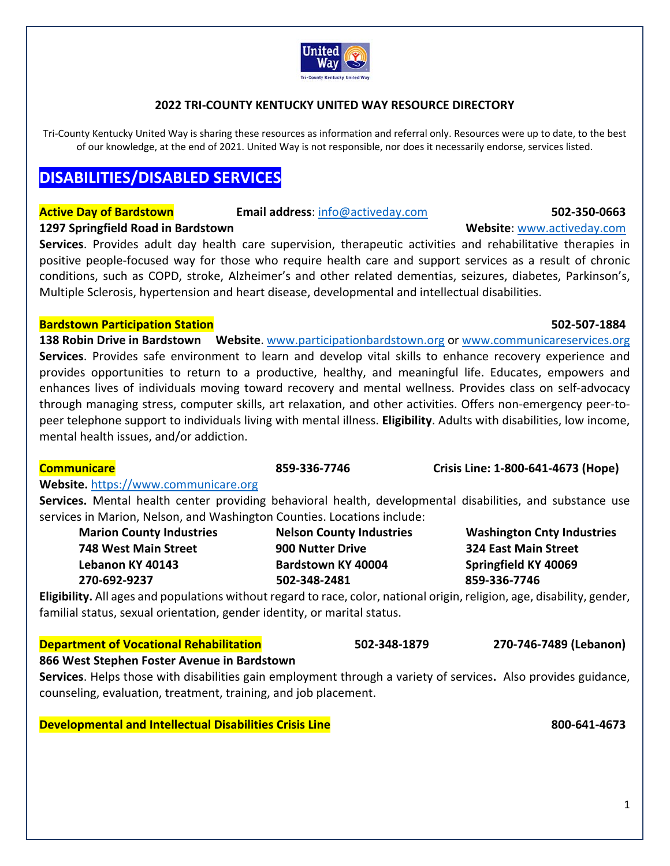

### **2022 TRI‐COUNTY KENTUCKY UNITED WAY RESOURCE DIRECTORY**

Tri-County Kentucky United Way is sharing these resources as information and referral only. Resources were up to date, to the best of our knowledge, at the end of 2021. United Way is not responsible, nor does it necessarily endorse, services listed.

# **DISABILITIES/DISABLED SERVICES**

### **Active Day of Bardstown Email address:** info@activeday.com **502-350-0663**

**1297 Springfield Road in Bardstown <b> 1297 Springfield Road in Bardstown 1297 Springfield Road in Bardstown** 

Services. Provides adult day health care supervision, therapeutic activities and rehabilitative therapies in positive people-focused way for those who require health care and support services as a result of chronic conditions, such as COPD, stroke, Alzheimer's and other related dementias, seizures, diabetes, Parkinson's, Multiple Sclerosis, hypertension and heart disease, developmental and intellectual disabilities.

### **Bardstown Participation Station 502‐507‐1884**

**138 Robin Drive in Bardstown Website**. www.participationbardstown.org or www.communicareservices.org **Services**. Provides safe environment to learn and develop vital skills to enhance recovery experience and provides opportunities to return to a productive, healthy, and meaningful life. Educates, empowers and enhances lives of individuals moving toward recovery and mental wellness. Provides class on self‐advocacy through managing stress, computer skills, art relaxation, and other activities. Offers non-emergency peer-topeer telephone support to individuals living with mental illness. **Eligibility**. Adults with disabilities, low income, mental health issues, and/or addiction.

| <b>Communicare</b>                                                                                                       | 859-336-7746                    | Crisis Line: 1-800-641-4673 (Hope) |
|--------------------------------------------------------------------------------------------------------------------------|---------------------------------|------------------------------------|
| <b>Website.</b> https://www.communicare.org                                                                              |                                 |                                    |
| Services. Mental health center providing behavioral health, developmental disabilities, and substance use                |                                 |                                    |
| services in Marion, Nelson, and Washington Counties. Locations include:                                                  |                                 |                                    |
| <b>Marion County Industries</b>                                                                                          | <b>Nelson County Industries</b> | <b>Washington Cnty Industries</b>  |
| <b>748 West Main Street</b>                                                                                              | 900 Nutter Drive                | <b>324 East Main Street</b>        |
| Lebanon KY 40143                                                                                                         | Bardstown KY 40004              | Springfield KY 40069               |
| 270-692-9237                                                                                                             | 502-348-2481                    | 859-336-7746                       |
| Eligibility. All ages and populations without regard to race, color, national origin, religion, age, disability, gender, |                                 |                                    |
| familial status, sexual orientation, gender identity, or marital status.                                                 |                                 |                                    |
| <b>Department of Vocational Rehabilitation</b>                                                                           | 502-348-1879                    | 270-746-7489 (Lebanon)             |
| 866 West Stephen Foster Avenue in Bardstown                                                                              |                                 |                                    |
| Services. Helps those with disabilities gain employment through a variety of services. Also provides guidance,           |                                 |                                    |
| counseling, evaluation, treatment, training, and job placement.                                                          |                                 |                                    |
|                                                                                                                          |                                 |                                    |
| <b>Developmental and Intellectual Disabilities Crisis Line</b>                                                           |                                 | 800-641-4673                       |
|                                                                                                                          |                                 |                                    |
|                                                                                                                          |                                 |                                    |
|                                                                                                                          |                                 |                                    |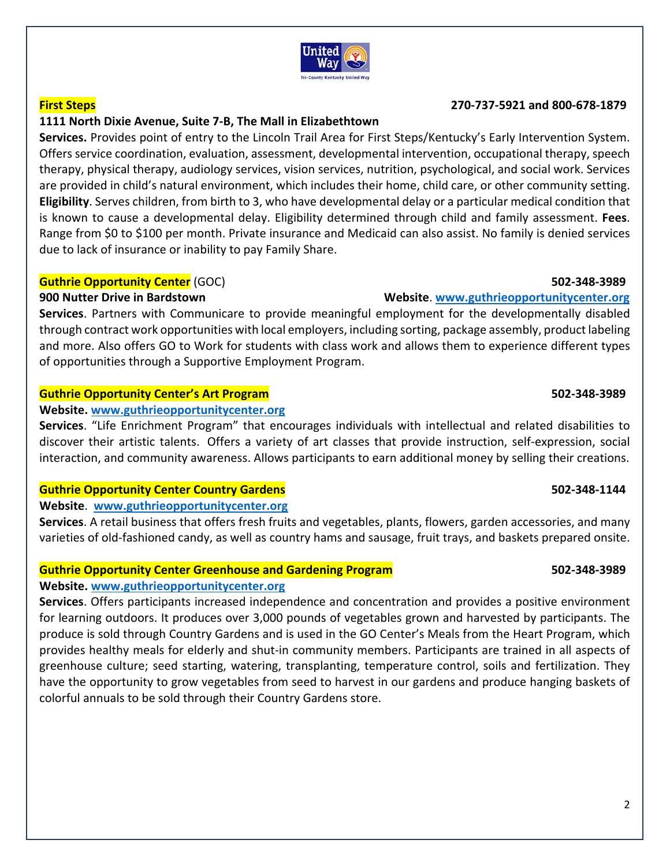

### **First Steps 270‐737‐5921 and 800‐678‐1879**

# **1111 North Dixie Avenue, Suite 7‐B, The Mall in Elizabethtown**

**Services.** Provides point of entry to the Lincoln Trail Area for First Steps/Kentucky's Early Intervention System. Offers service coordination, evaluation, assessment, developmental intervention, occupational therapy, speech therapy, physical therapy, audiology services, vision services, nutrition, psychological, and social work. Services are provided in child's natural environment, which includes their home, child care, or other community setting. **Eligibility**. Serves children, from birth to 3, who have developmental delay or a particular medical condition that is known to cause a developmental delay. Eligibility determined through child and family assessment. **Fees**. Range from \$0 to \$100 per month. Private insurance and Medicaid can also assist. No family is denied services due to lack of insurance or inability to pay Family Share.

### **Guthrie Opportunity Center** (GOC) **502‐348‐3989**

**Services**. Partners with Communicare to provide meaningful employment for the developmentally disabled through contract work opportunities with local employers, including sorting, package assembly, product labeling and more. Also offers GO to Work for students with class work and allows them to experience different types of opportunities through a Supportive Employment Program.

### **Guthrie Opportunity Center's Art Program 502‐348‐3989**

### **Website. www.guthrieopportunitycenter.org**

**Services**. "Life Enrichment Program" that encourages individuals with intellectual and related disabilities to discover their artistic talents. Offers a variety of art classes that provide instruction, self‐expression, social interaction, and community awareness. Allows participants to earn additional money by selling their creations.

## **Guthrie Opportunity Center Country Gardens 502‐348‐1144**

## **Website**. **www.guthrieopportunitycenter.org**

**Services**. A retail business that offers fresh fruits and vegetables, plants, flowers, garden accessories, and many varieties of old-fashioned candy, as well as country hams and sausage, fruit trays, and baskets prepared onsite.

## **Guthrie Opportunity Center Greenhouse and Gardening Program 502‐348‐3989**

## **Website. www.guthrieopportunitycenter.org**

**Services**. Offers participants increased independence and concentration and provides a positive environment for learning outdoors. It produces over 3,000 pounds of vegetables grown and harvested by participants. The produce is sold through Country Gardens and is used in the GO Center's Meals from the Heart Program, which provides healthy meals for elderly and shut‐in community members. Participants are trained in all aspects of greenhouse culture; seed starting, watering, transplanting, temperature control, soils and fertilization. They have the opportunity to grow vegetables from seed to harvest in our gardens and produce hanging baskets of colorful annuals to be sold through their Country Gardens store.

### United Wav **Tri-County Kentucky United Way**

## **900 Nutter Drive in Bardstown Website**. **www.guthrieopportunitycenter.org**